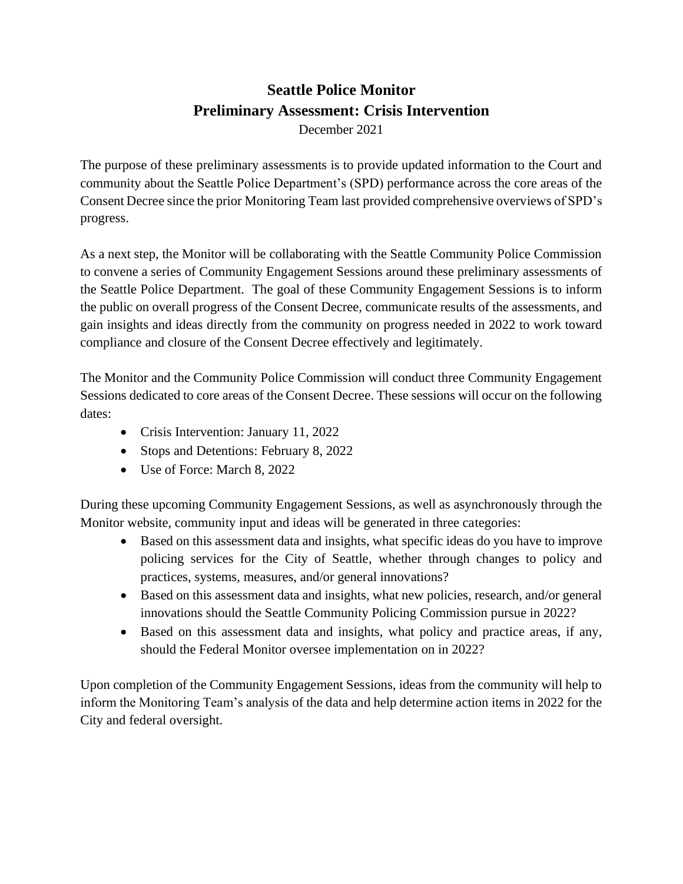# **Seattle Police Monitor Preliminary Assessment: Crisis Intervention**

December 2021

The purpose of these preliminary assessments is to provide updated information to the Court and community about the Seattle Police Department's (SPD) performance across the core areas of the Consent Decree since the prior Monitoring Team last provided comprehensive overviews of SPD's progress.

As a next step, the Monitor will be collaborating with the Seattle Community Police Commission to convene a series of Community Engagement Sessions around these preliminary assessments of the Seattle Police Department. The goal of these Community Engagement Sessions is to inform the public on overall progress of the Consent Decree, communicate results of the assessments, and gain insights and ideas directly from the community on progress needed in 2022 to work toward compliance and closure of the Consent Decree effectively and legitimately.

The Monitor and the Community Police Commission will conduct three Community Engagement Sessions dedicated to core areas of the Consent Decree. These sessions will occur on the following dates:

- Crisis Intervention: January 11, 2022
- Stops and Detentions: February 8, 2022
- Use of Force: March 8, 2022

During these upcoming Community Engagement Sessions, as well as asynchronously through the Monitor website, community input and ideas will be generated in three categories:

- Based on this assessment data and insights, what specific ideas do you have to improve policing services for the City of Seattle, whether through changes to policy and practices, systems, measures, and/or general innovations?
- Based on this assessment data and insights, what new policies, research, and/or general innovations should the Seattle Community Policing Commission pursue in 2022?
- Based on this assessment data and insights, what policy and practice areas, if any, should the Federal Monitor oversee implementation on in 2022?

Upon completion of the Community Engagement Sessions, ideas from the community will help to inform the Monitoring Team's analysis of the data and help determine action items in 2022 for the City and federal oversight.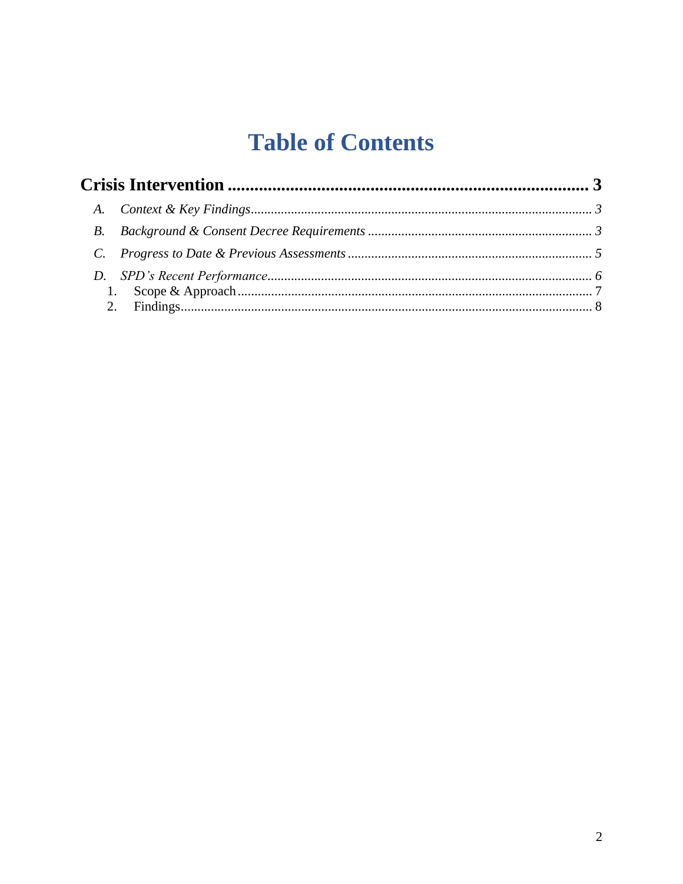# **Table of Contents**

| 1. |  |  |
|----|--|--|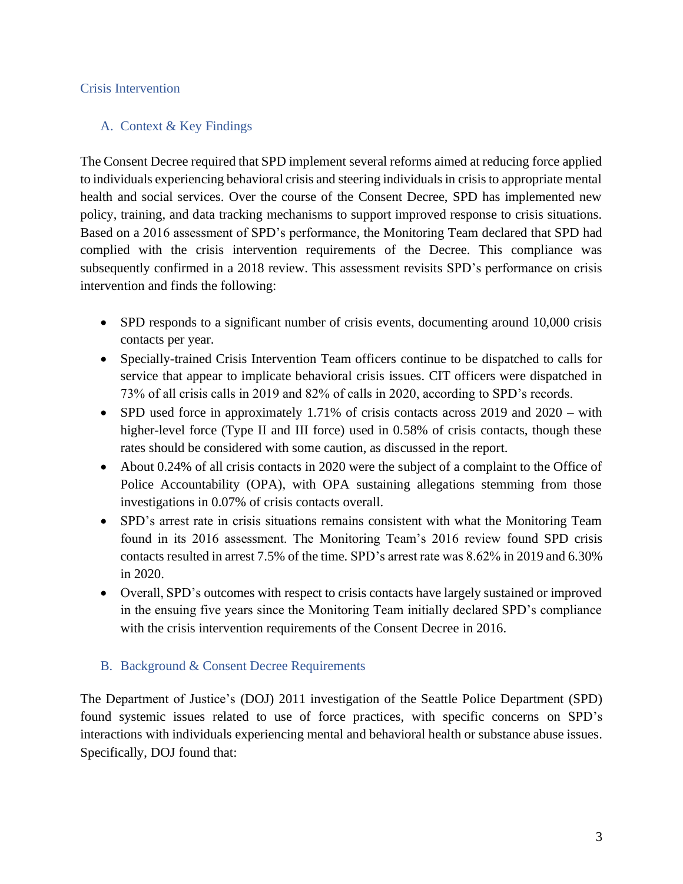#### <span id="page-2-0"></span>Crisis Intervention

#### <span id="page-2-1"></span>A. Context & Key Findings

The Consent Decree required that SPD implement several reforms aimed at reducing force applied to individuals experiencing behavioral crisis and steering individuals in crisis to appropriate mental health and social services. Over the course of the Consent Decree, SPD has implemented new policy, training, and data tracking mechanisms to support improved response to crisis situations. Based on a 2016 assessment of SPD's performance, the Monitoring Team declared that SPD had complied with the crisis intervention requirements of the Decree. This compliance was subsequently confirmed in a 2018 review. This assessment revisits SPD's performance on crisis intervention and finds the following:

- SPD responds to a significant number of crisis events, documenting around 10,000 crisis contacts per year.
- Specially-trained Crisis Intervention Team officers continue to be dispatched to calls for service that appear to implicate behavioral crisis issues. CIT officers were dispatched in 73% of all crisis calls in 2019 and 82% of calls in 2020, according to SPD's records.
- SPD used force in approximately 1.71% of crisis contacts across 2019 and 2020 with higher-level force (Type II and III force) used in 0.58% of crisis contacts, though these rates should be considered with some caution, as discussed in the report.
- About 0.24% of all crisis contacts in 2020 were the subject of a complaint to the Office of Police Accountability (OPA), with OPA sustaining allegations stemming from those investigations in 0.07% of crisis contacts overall.
- SPD's arrest rate in crisis situations remains consistent with what the Monitoring Team found in its 2016 assessment. The Monitoring Team's 2016 review found SPD crisis contacts resulted in arrest 7.5% of the time. SPD's arrest rate was 8.62% in 2019 and 6.30% in 2020.
- Overall, SPD's outcomes with respect to crisis contacts have largely sustained or improved in the ensuing five years since the Monitoring Team initially declared SPD's compliance with the crisis intervention requirements of the Consent Decree in 2016.

## <span id="page-2-2"></span>B. Background & Consent Decree Requirements

The Department of Justice's (DOJ) 2011 investigation of the Seattle Police Department (SPD) found systemic issues related to use of force practices, with specific concerns on SPD's interactions with individuals experiencing mental and behavioral health or substance abuse issues. Specifically, DOJ found that: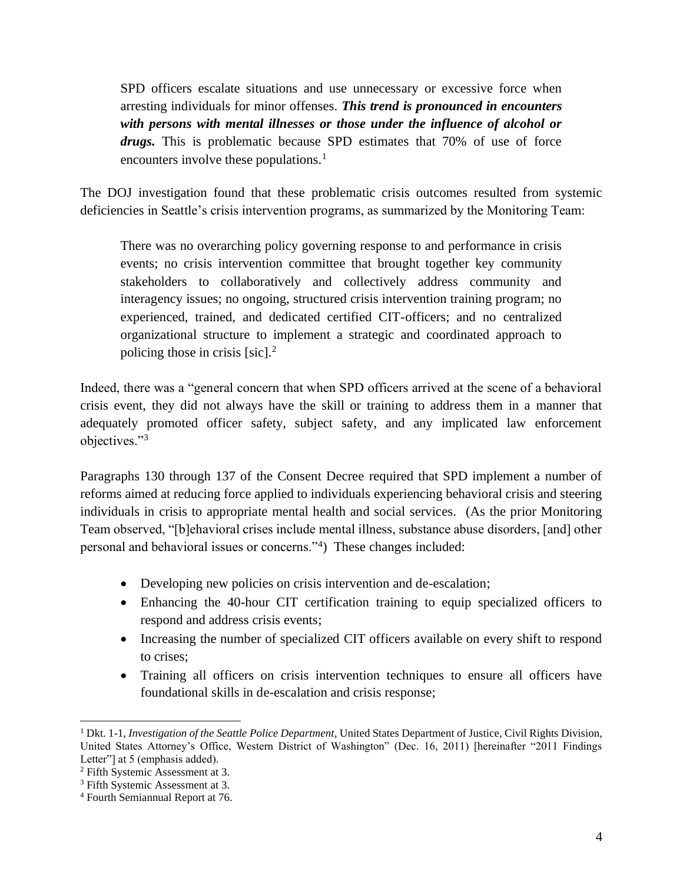SPD officers escalate situations and use unnecessary or excessive force when arresting individuals for minor offenses. *This trend is pronounced in encounters with persons with mental illnesses or those under the influence of alcohol or drugs.* This is problematic because SPD estimates that 70% of use of force encounters involve these populations.<sup>1</sup>

The DOJ investigation found that these problematic crisis outcomes resulted from systemic deficiencies in Seattle's crisis intervention programs, as summarized by the Monitoring Team:

There was no overarching policy governing response to and performance in crisis events; no crisis intervention committee that brought together key community stakeholders to collaboratively and collectively address community and interagency issues; no ongoing, structured crisis intervention training program; no experienced, trained, and dedicated certified CIT-officers; and no centralized organizational structure to implement a strategic and coordinated approach to policing those in crisis [sic]. 2

Indeed, there was a "general concern that when SPD officers arrived at the scene of a behavioral crisis event, they did not always have the skill or training to address them in a manner that adequately promoted officer safety, subject safety, and any implicated law enforcement objectives."<sup>3</sup>

Paragraphs 130 through 137 of the Consent Decree required that SPD implement a number of reforms aimed at reducing force applied to individuals experiencing behavioral crisis and steering individuals in crisis to appropriate mental health and social services. (As the prior Monitoring Team observed, "[b]ehavioral crises include mental illness, substance abuse disorders, [and] other personal and behavioral issues or concerns."<sup>4</sup> ) These changes included:

- Developing new policies on crisis intervention and de-escalation;
- Enhancing the 40-hour CIT certification training to equip specialized officers to respond and address crisis events;
- Increasing the number of specialized CIT officers available on every shift to respond to crises;
- Training all officers on crisis intervention techniques to ensure all officers have foundational skills in de-escalation and crisis response;

<sup>&</sup>lt;sup>1</sup> Dkt. 1-1, *Investigation of the Seattle Police Department*, United States Department of Justice, Civil Rights Division, United States Attorney's Office, Western District of Washington" (Dec. 16, 2011) [hereinafter "2011 Findings Letter"] at 5 (emphasis added).

<sup>2</sup> Fifth Systemic Assessment at 3.

<sup>3</sup> Fifth Systemic Assessment at 3.

<sup>4</sup> Fourth Semiannual Report at 76.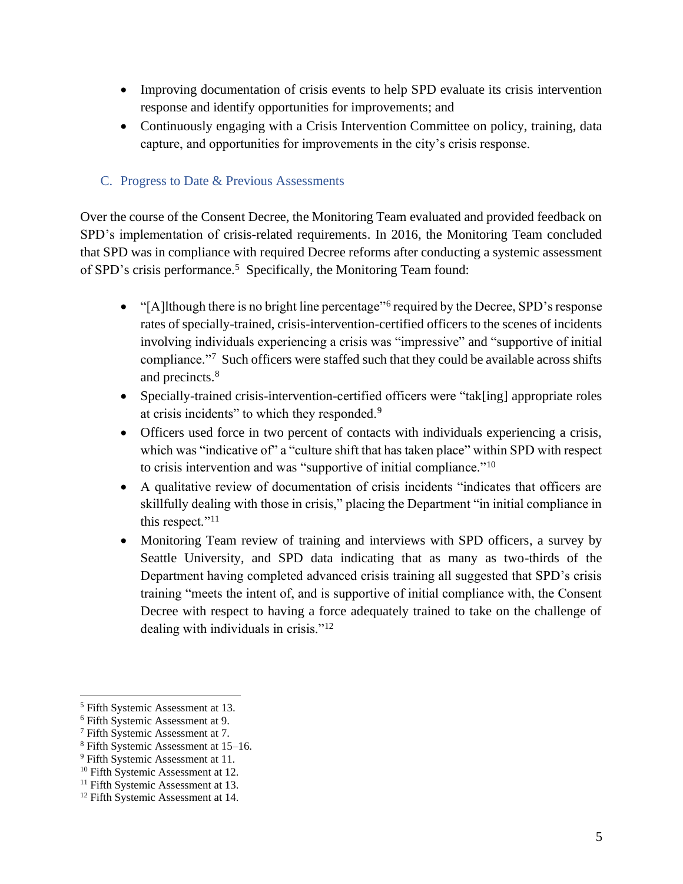- Improving documentation of crisis events to help SPD evaluate its crisis intervention response and identify opportunities for improvements; and
- Continuously engaging with a Crisis Intervention Committee on policy, training, data capture, and opportunities for improvements in the city's crisis response.

## <span id="page-4-0"></span>C. Progress to Date & Previous Assessments

Over the course of the Consent Decree, the Monitoring Team evaluated and provided feedback on SPD's implementation of crisis-related requirements. In 2016, the Monitoring Team concluded that SPD was in compliance with required Decree reforms after conducting a systemic assessment of SPD's crisis performance. 5 Specifically, the Monitoring Team found:

- "[A]lthough there is no bright line percentage"<sup>6</sup> required by the Decree, SPD's response rates of specially-trained, crisis-intervention-certified officers to the scenes of incidents involving individuals experiencing a crisis was "impressive" and "supportive of initial compliance."<sup>7</sup> Such officers were staffed such that they could be available across shifts and precincts.<sup>8</sup>
- Specially-trained crisis-intervention-certified officers were "tak[ing] appropriate roles at crisis incidents" to which they responded.<sup>9</sup>
- Officers used force in two percent of contacts with individuals experiencing a crisis, which was "indicative of" a "culture shift that has taken place" within SPD with respect to crisis intervention and was "supportive of initial compliance."<sup>10</sup>
- A qualitative review of documentation of crisis incidents "indicates that officers are skillfully dealing with those in crisis," placing the Department "in initial compliance in this respect."<sup>11</sup>
- Monitoring Team review of training and interviews with SPD officers, a survey by Seattle University, and SPD data indicating that as many as two-thirds of the Department having completed advanced crisis training all suggested that SPD's crisis training "meets the intent of, and is supportive of initial compliance with, the Consent Decree with respect to having a force adequately trained to take on the challenge of dealing with individuals in crisis."<sup>12</sup>

<sup>5</sup> Fifth Systemic Assessment at 13.

<sup>6</sup> Fifth Systemic Assessment at 9.

<sup>7</sup> Fifth Systemic Assessment at 7.

<sup>8</sup> Fifth Systemic Assessment at 15–16.

<sup>&</sup>lt;sup>9</sup> Fifth Systemic Assessment at 11.

<sup>&</sup>lt;sup>10</sup> Fifth Systemic Assessment at 12.

<sup>&</sup>lt;sup>11</sup> Fifth Systemic Assessment at 13.

<sup>&</sup>lt;sup>12</sup> Fifth Systemic Assessment at 14.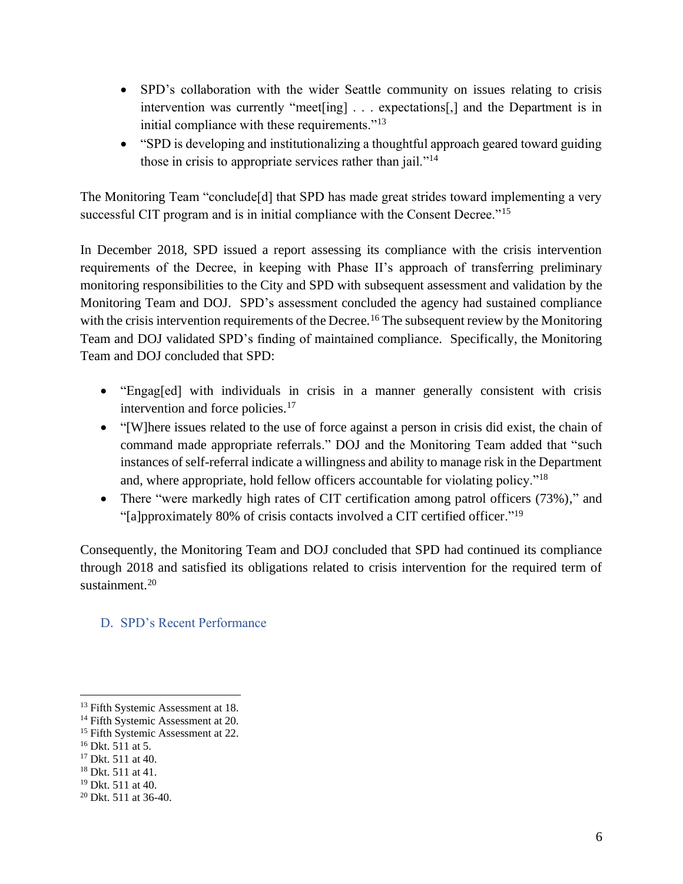- SPD's collaboration with the wider Seattle community on issues relating to crisis intervention was currently "meet[ing] . . . expectations[,] and the Department is in initial compliance with these requirements."<sup>13</sup>
- "SPD is developing and institutionalizing a thoughtful approach geared toward guiding those in crisis to appropriate services rather than jail."<sup>14</sup>

The Monitoring Team "conclude<sup>[d]</sup> that SPD has made great strides toward implementing a very successful CIT program and is in initial compliance with the Consent Decree."<sup>15</sup>

In December 2018, SPD issued a report assessing its compliance with the crisis intervention requirements of the Decree, in keeping with Phase II's approach of transferring preliminary monitoring responsibilities to the City and SPD with subsequent assessment and validation by the Monitoring Team and DOJ. SPD's assessment concluded the agency had sustained compliance with the crisis intervention requirements of the Decree.<sup>16</sup> The subsequent review by the Monitoring Team and DOJ validated SPD's finding of maintained compliance. Specifically, the Monitoring Team and DOJ concluded that SPD:

- "Engag[ed] with individuals in crisis in a manner generally consistent with crisis intervention and force policies.<sup>17</sup>
- "[W]here issues related to the use of force against a person in crisis did exist, the chain of command made appropriate referrals." DOJ and the Monitoring Team added that "such instances of self-referral indicate a willingness and ability to manage risk in the Department and, where appropriate, hold fellow officers accountable for violating policy."<sup>18</sup>
- There "were markedly high rates of CIT certification among patrol officers (73%)," and "[a]pproximately 80% of crisis contacts involved a CIT certified officer."<sup>19</sup>

Consequently, the Monitoring Team and DOJ concluded that SPD had continued its compliance through 2018 and satisfied its obligations related to crisis intervention for the required term of sustainment.<sup>20</sup>

# <span id="page-5-0"></span>D. SPD's Recent Performance

<sup>&</sup>lt;sup>13</sup> Fifth Systemic Assessment at 18.

<sup>&</sup>lt;sup>14</sup> Fifth Systemic Assessment at 20.

<sup>&</sup>lt;sup>15</sup> Fifth Systemic Assessment at 22.

<sup>16</sup> Dkt. 511 at 5.

<sup>&</sup>lt;sup>17</sup> Dkt. 511 at 40.

<sup>18</sup> Dkt. 511 at 41.

<sup>19</sup> Dkt. 511 at 40.

<sup>20</sup> Dkt. 511 at 36-40.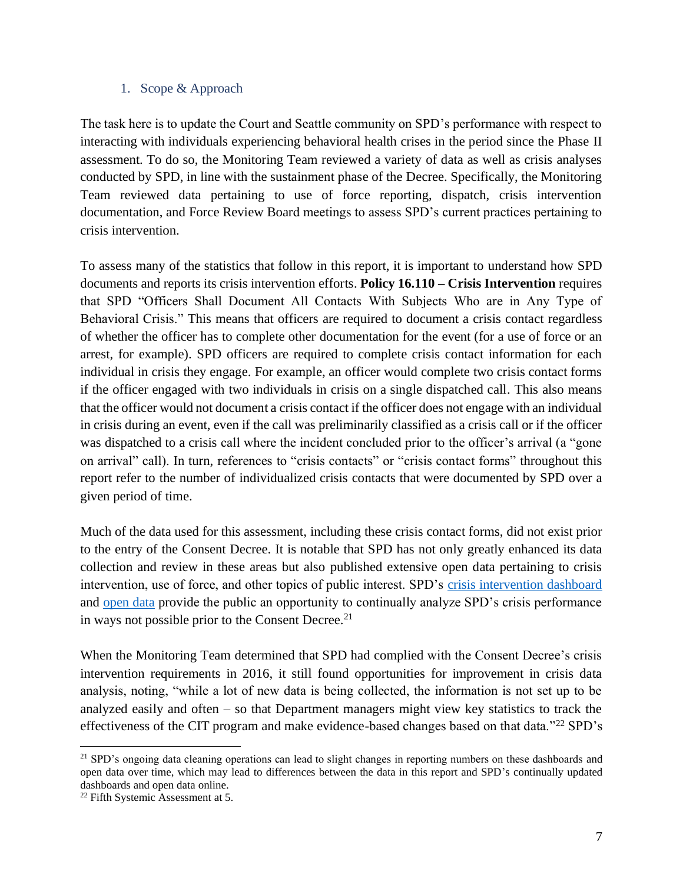#### 1. Scope & Approach

<span id="page-6-0"></span>The task here is to update the Court and Seattle community on SPD's performance with respect to interacting with individuals experiencing behavioral health crises in the period since the Phase II assessment. To do so, the Monitoring Team reviewed a variety of data as well as crisis analyses conducted by SPD, in line with the sustainment phase of the Decree. Specifically, the Monitoring Team reviewed data pertaining to use of force reporting, dispatch, crisis intervention documentation, and Force Review Board meetings to assess SPD's current practices pertaining to crisis intervention.

To assess many of the statistics that follow in this report, it is important to understand how SPD documents and reports its crisis intervention efforts. **Policy 16.110 – Crisis Intervention** requires that SPD "Officers Shall Document All Contacts With Subjects Who are in Any Type of Behavioral Crisis." This means that officers are required to document a crisis contact regardless of whether the officer has to complete other documentation for the event (for a use of force or an arrest, for example). SPD officers are required to complete crisis contact information for each individual in crisis they engage. For example, an officer would complete two crisis contact forms if the officer engaged with two individuals in crisis on a single dispatched call. This also means that the officer would not document a crisis contact if the officer does not engage with an individual in crisis during an event, even if the call was preliminarily classified as a crisis call or if the officer was dispatched to a crisis call where the incident concluded prior to the officer's arrival (a "gone on arrival" call). In turn, references to "crisis contacts" or "crisis contact forms" throughout this report refer to the number of individualized crisis contacts that were documented by SPD over a given period of time.

Much of the data used for this assessment, including these crisis contact forms, did not exist prior to the entry of the Consent Decree. It is notable that SPD has not only greatly enhanced its data collection and review in these areas but also published extensive open data pertaining to crisis intervention, use of force, and other topics of public interest. SPD's [crisis intervention dashboard](https://www.seattle.gov/police/information-and-data/crisis-contacts/crisis-contact-dashboard) and [open data](https://www.seattle.gov/police/information-and-data/crisis-contacts/crisis-contact-dataset) provide the public an opportunity to continually analyze SPD's crisis performance in ways not possible prior to the Consent Decree.<sup>21</sup>

When the Monitoring Team determined that SPD had complied with the Consent Decree's crisis intervention requirements in 2016, it still found opportunities for improvement in crisis data analysis, noting, "while a lot of new data is being collected, the information is not set up to be analyzed easily and often – so that Department managers might view key statistics to track the effectiveness of the CIT program and make evidence-based changes based on that data."<sup>22</sup> SPD's

<sup>&</sup>lt;sup>21</sup> SPD's ongoing data cleaning operations can lead to slight changes in reporting numbers on these dashboards and open data over time, which may lead to differences between the data in this report and SPD's continually updated dashboards and open data online.

 $22$  Fifth Systemic Assessment at 5.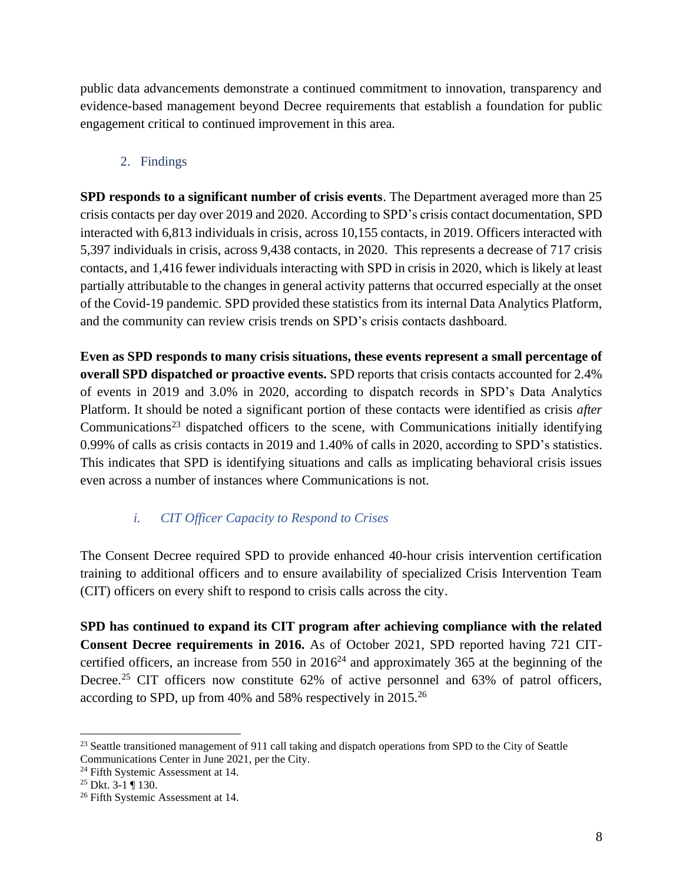public data advancements demonstrate a continued commitment to innovation, transparency and evidence-based management beyond Decree requirements that establish a foundation for public engagement critical to continued improvement in this area.

# 2. Findings

<span id="page-7-0"></span>**SPD responds to a significant number of crisis events**. The Department averaged more than 25 crisis contacts per day over 2019 and 2020. According to SPD's crisis contact documentation, SPD interacted with 6,813 individuals in crisis, across 10,155 contacts, in 2019. Officers interacted with 5,397 individuals in crisis, across 9,438 contacts, in 2020. This represents a decrease of 717 crisis contacts, and 1,416 fewer individuals interacting with SPD in crisis in 2020, which is likely at least partially attributable to the changes in general activity patterns that occurred especially at the onset of the Covid-19 pandemic. SPD provided these statistics from its internal Data Analytics Platform, and the community can review crisis trends on SPD's crisis contacts dashboard.

**Even as SPD responds to many crisis situations, these events represent a small percentage of overall SPD dispatched or proactive events.** SPD reports that crisis contacts accounted for 2.4% of events in 2019 and 3.0% in 2020, according to dispatch records in SPD's Data Analytics Platform. It should be noted a significant portion of these contacts were identified as crisis *after* Communications<sup>23</sup> dispatched officers to the scene, with Communications initially identifying 0.99% of calls as crisis contacts in 2019 and 1.40% of calls in 2020, according to SPD's statistics. This indicates that SPD is identifying situations and calls as implicating behavioral crisis issues even across a number of instances where Communications is not.

# *i. CIT Officer Capacity to Respond to Crises*

The Consent Decree required SPD to provide enhanced 40-hour crisis intervention certification training to additional officers and to ensure availability of specialized Crisis Intervention Team (CIT) officers on every shift to respond to crisis calls across the city.

**SPD has continued to expand its CIT program after achieving compliance with the related Consent Decree requirements in 2016.** As of October 2021, SPD reported having 721 CITcertified officers, an increase from 550 in  $2016^{24}$  and approximately 365 at the beginning of the Decree.<sup>25</sup> CIT officers now constitute 62% of active personnel and 63% of patrol officers, according to SPD, up from 40% and 58% respectively in 2015.<sup>26</sup>

<sup>&</sup>lt;sup>23</sup> Seattle transitioned management of 911 call taking and dispatch operations from SPD to the City of Seattle Communications Center in June 2021, per the City.

<sup>&</sup>lt;sup>24</sup> Fifth Systemic Assessment at 14.

<sup>25</sup> Dkt. 3-1 ¶ 130.

<sup>&</sup>lt;sup>26</sup> Fifth Systemic Assessment at 14.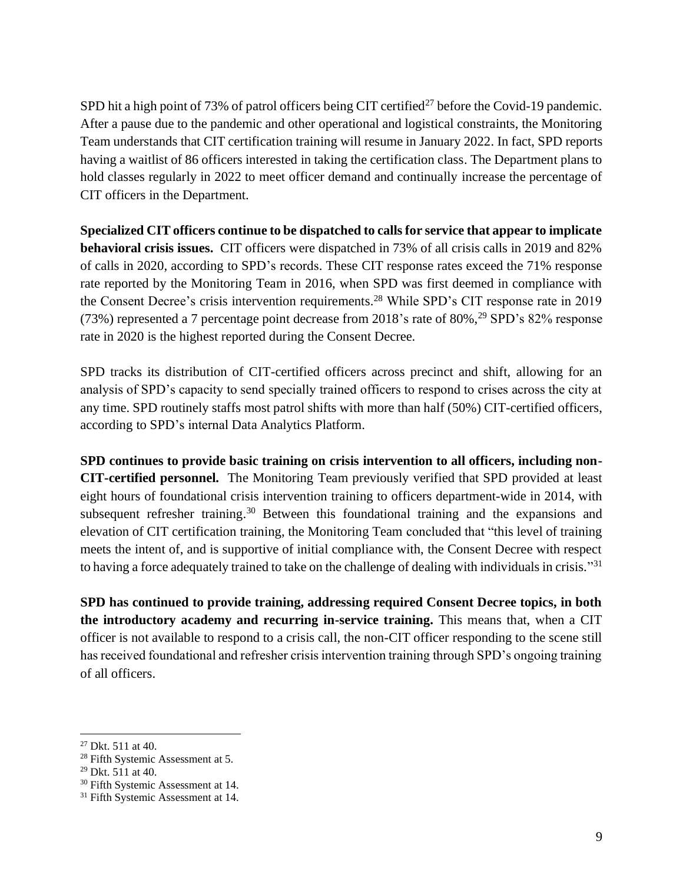SPD hit a high point of 73% of patrol officers being CIT certified<sup>27</sup> before the Covid-19 pandemic. After a pause due to the pandemic and other operational and logistical constraints, the Monitoring Team understands that CIT certification training will resume in January 2022. In fact, SPD reports having a waitlist of 86 officers interested in taking the certification class. The Department plans to hold classes regularly in 2022 to meet officer demand and continually increase the percentage of CIT officers in the Department.

**Specialized CIT officers continue to be dispatched to calls for service that appear to implicate behavioral crisis issues.** CIT officers were dispatched in 73% of all crisis calls in 2019 and 82% of calls in 2020, according to SPD's records. These CIT response rates exceed the 71% response rate reported by the Monitoring Team in 2016, when SPD was first deemed in compliance with the Consent Decree's crisis intervention requirements.<sup>28</sup> While SPD's CIT response rate in 2019 (73%) represented a 7 percentage point decrease from 2018's rate of 80%, <sup>29</sup> SPD's 82% response rate in 2020 is the highest reported during the Consent Decree.

SPD tracks its distribution of CIT-certified officers across precinct and shift, allowing for an analysis of SPD's capacity to send specially trained officers to respond to crises across the city at any time. SPD routinely staffs most patrol shifts with more than half (50%) CIT-certified officers, according to SPD's internal Data Analytics Platform.

**SPD continues to provide basic training on crisis intervention to all officers, including non-CIT-certified personnel.** The Monitoring Team previously verified that SPD provided at least eight hours of foundational crisis intervention training to officers department-wide in 2014, with subsequent refresher training.<sup>30</sup> Between this foundational training and the expansions and elevation of CIT certification training, the Monitoring Team concluded that "this level of training meets the intent of, and is supportive of initial compliance with, the Consent Decree with respect to having a force adequately trained to take on the challenge of dealing with individuals in crisis."<sup>31</sup>

**SPD has continued to provide training, addressing required Consent Decree topics, in both the introductory academy and recurring in-service training.** This means that, when a CIT officer is not available to respond to a crisis call, the non-CIT officer responding to the scene still has received foundational and refresher crisis intervention training through SPD's ongoing training of all officers.

 $27$  Dkt. 511 at 40.

<sup>&</sup>lt;sup>28</sup> Fifth Systemic Assessment at 5.

 $29$  Dkt. 511 at 40.

<sup>&</sup>lt;sup>30</sup> Fifth Systemic Assessment at 14.

<sup>&</sup>lt;sup>31</sup> Fifth Systemic Assessment at 14.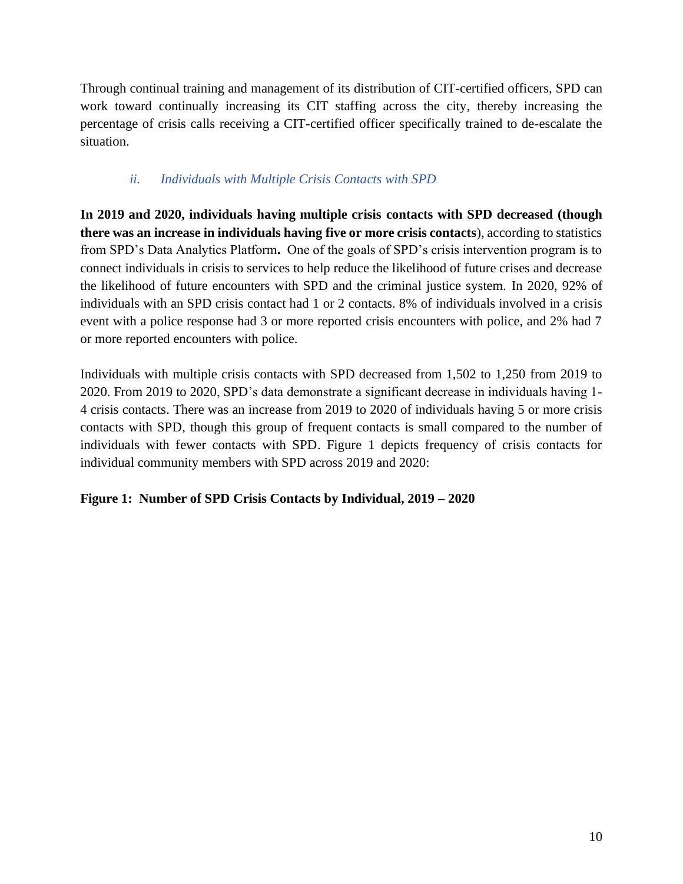Through continual training and management of its distribution of CIT-certified officers, SPD can work toward continually increasing its CIT staffing across the city, thereby increasing the percentage of crisis calls receiving a CIT-certified officer specifically trained to de-escalate the situation.

# *ii. Individuals with Multiple Crisis Contacts with SPD*

**In 2019 and 2020, individuals having multiple crisis contacts with SPD decreased (though there was an increase in individuals having five or more crisis contacts**), according to statistics from SPD's Data Analytics Platform**.** One of the goals of SPD's crisis intervention program is to connect individuals in crisis to services to help reduce the likelihood of future crises and decrease the likelihood of future encounters with SPD and the criminal justice system. In 2020, 92% of individuals with an SPD crisis contact had 1 or 2 contacts. 8% of individuals involved in a crisis event with a police response had 3 or more reported crisis encounters with police, and 2% had 7 or more reported encounters with police.

Individuals with multiple crisis contacts with SPD decreased from 1,502 to 1,250 from 2019 to 2020. From 2019 to 2020, SPD's data demonstrate a significant decrease in individuals having 1- 4 crisis contacts. There was an increase from 2019 to 2020 of individuals having 5 or more crisis contacts with SPD, though this group of frequent contacts is small compared to the number of individuals with fewer contacts with SPD. Figure 1 depicts frequency of crisis contacts for individual community members with SPD across 2019 and 2020:

# **Figure 1: Number of SPD Crisis Contacts by Individual, 2019 – 2020**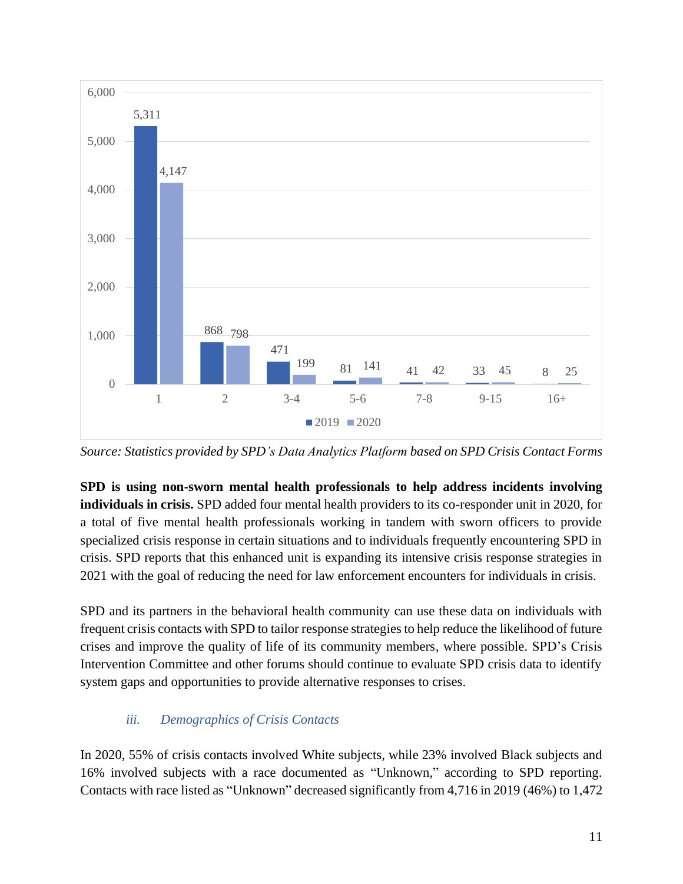

*Source: Statistics provided by SPD's Data Analytics Platform based on SPD Crisis Contact Forms*

**SPD is using non-sworn mental health professionals to help address incidents involving individuals in crisis.** SPD added four mental health providers to its co-responder unit in 2020, for a total of five mental health professionals working in tandem with sworn officers to provide specialized crisis response in certain situations and to individuals frequently encountering SPD in crisis. SPD reports that this enhanced unit is expanding its intensive crisis response strategies in 2021 with the goal of reducing the need for law enforcement encounters for individuals in crisis.

SPD and its partners in the behavioral health community can use these data on individuals with frequent crisis contacts with SPD to tailor response strategies to help reduce the likelihood of future crises and improve the quality of life of its community members, where possible. SPD's Crisis Intervention Committee and other forums should continue to evaluate SPD crisis data to identify system gaps and opportunities to provide alternative responses to crises.

## *iii. Demographics of Crisis Contacts*

In 2020, 55% of crisis contacts involved White subjects, while 23% involved Black subjects and 16% involved subjects with a race documented as "Unknown," according to SPD reporting. Contacts with race listed as "Unknown" decreased significantly from 4,716 in 2019 (46%) to 1,472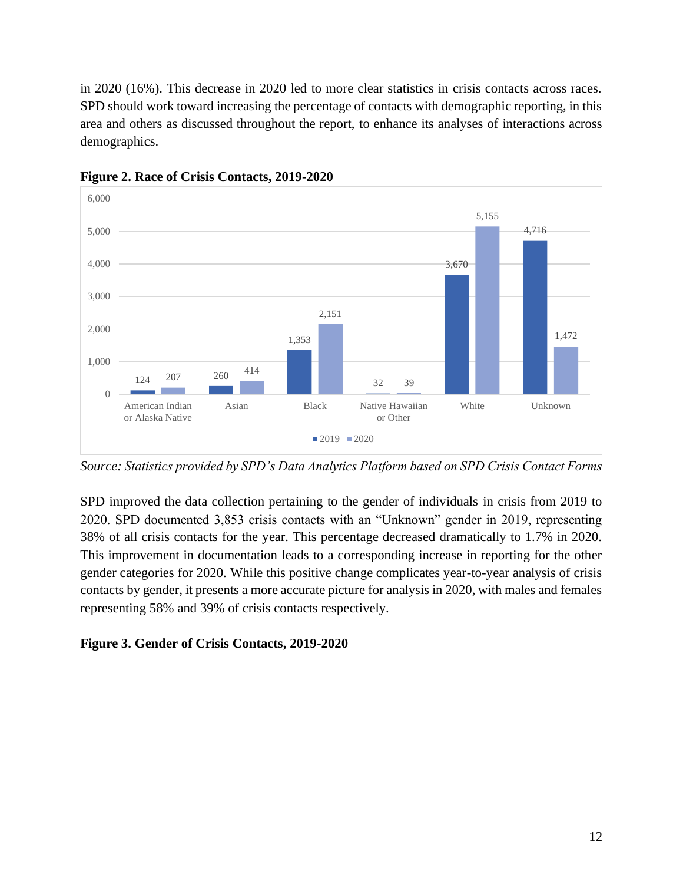in 2020 (16%). This decrease in 2020 led to more clear statistics in crisis contacts across races. SPD should work toward increasing the percentage of contacts with demographic reporting, in this area and others as discussed throughout the report, to enhance its analyses of interactions across demographics.



**Figure 2. Race of Crisis Contacts, 2019-2020**

*Source: Statistics provided by SPD's Data Analytics Platform based on SPD Crisis Contact Forms*

SPD improved the data collection pertaining to the gender of individuals in crisis from 2019 to 2020. SPD documented 3,853 crisis contacts with an "Unknown" gender in 2019, representing 38% of all crisis contacts for the year. This percentage decreased dramatically to 1.7% in 2020. This improvement in documentation leads to a corresponding increase in reporting for the other gender categories for 2020. While this positive change complicates year-to-year analysis of crisis contacts by gender, it presents a more accurate picture for analysis in 2020, with males and females representing 58% and 39% of crisis contacts respectively.

# **Figure 3. Gender of Crisis Contacts, 2019-2020**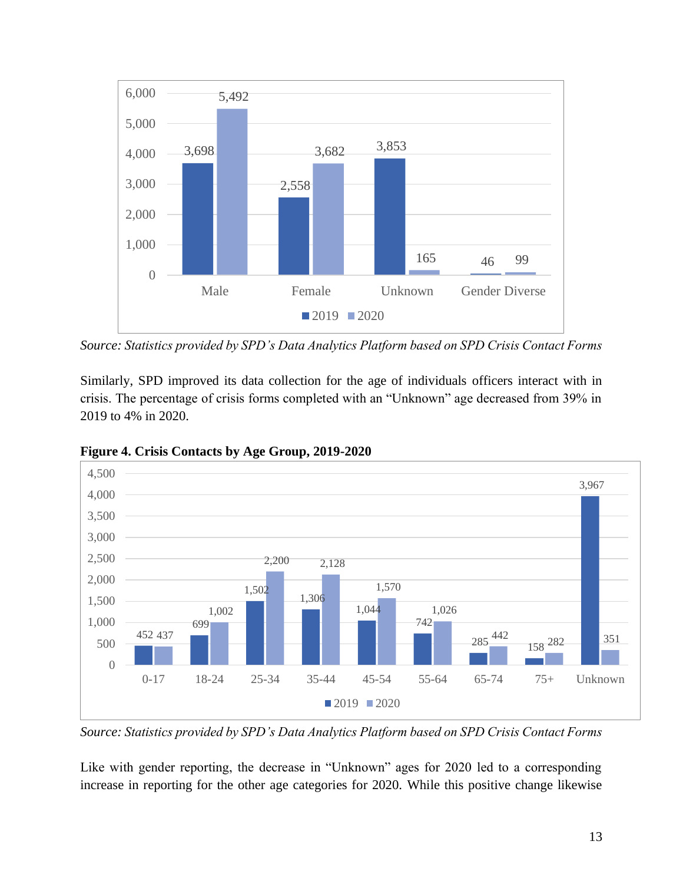

*Source: Statistics provided by SPD's Data Analytics Platform based on SPD Crisis Contact Forms*

Similarly, SPD improved its data collection for the age of individuals officers interact with in crisis. The percentage of crisis forms completed with an "Unknown" age decreased from 39% in 2019 to 4% in 2020.



**Figure 4. Crisis Contacts by Age Group, 2019-2020**

*Source: Statistics provided by SPD's Data Analytics Platform based on SPD Crisis Contact Forms*

Like with gender reporting, the decrease in "Unknown" ages for 2020 led to a corresponding increase in reporting for the other age categories for 2020. While this positive change likewise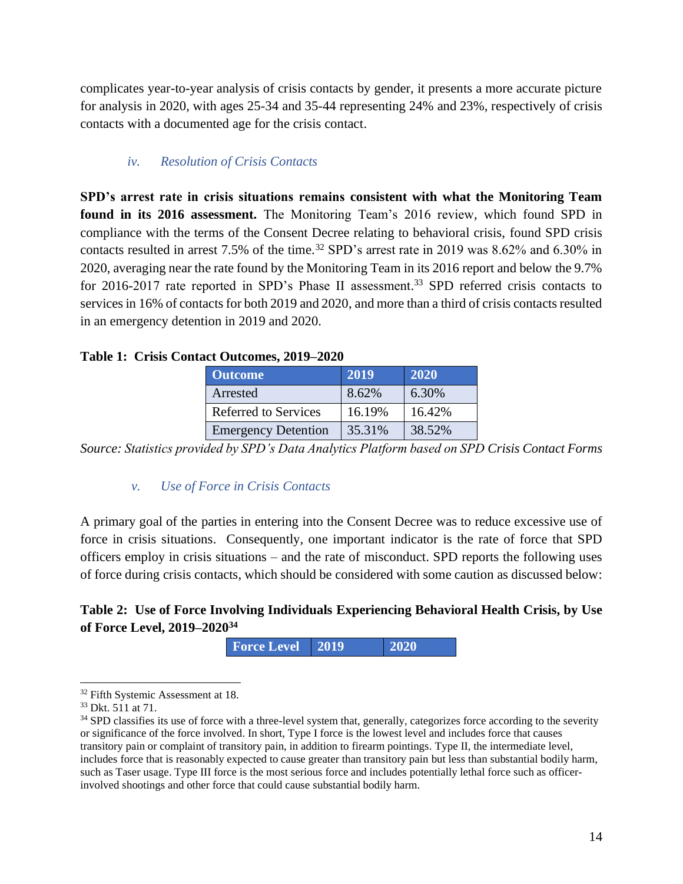complicates year-to-year analysis of crisis contacts by gender, it presents a more accurate picture for analysis in 2020, with ages 25-34 and 35-44 representing 24% and 23%, respectively of crisis contacts with a documented age for the crisis contact.

# *iv. Resolution of Crisis Contacts*

**SPD's arrest rate in crisis situations remains consistent with what the Monitoring Team found in its 2016 assessment.** The Monitoring Team's 2016 review, which found SPD in compliance with the terms of the Consent Decree relating to behavioral crisis, found SPD crisis contacts resulted in arrest 7.5% of the time.<sup>32</sup> SPD's arrest rate in 2019 was 8.62% and 6.30% in 2020, averaging near the rate found by the Monitoring Team in its 2016 report and below the 9.7% for 2016-2017 rate reported in SPD's Phase II assessment.<sup>33</sup> SPD referred crisis contacts to services in 16% of contacts for both 2019 and 2020, and more than a third of crisis contacts resulted in an emergency detention in 2019 and 2020.

| <b>Outcome</b>             | 2019   | 2020   |
|----------------------------|--------|--------|
| Arrested                   | 8.62%  | 6.30%  |
| Referred to Services       | 16.19% | 16.42% |
| <b>Emergency Detention</b> | 35.31% | 38.52% |

## **Table 1: Crisis Contact Outcomes, 2019–2020**

*Source: Statistics provided by SPD's Data Analytics Platform based on SPD Crisis Contact Forms*

## *v. Use of Force in Crisis Contacts*

A primary goal of the parties in entering into the Consent Decree was to reduce excessive use of force in crisis situations. Consequently, one important indicator is the rate of force that SPD officers employ in crisis situations – and the rate of misconduct. SPD reports the following uses of force during crisis contacts, which should be considered with some caution as discussed below:

# **Table 2: Use of Force Involving Individuals Experiencing Behavioral Health Crisis, by Use of Force Level, 2019–2020<sup>34</sup>**

**Force Level 2019 2020**

<sup>&</sup>lt;sup>32</sup> Fifth Systemic Assessment at 18.

<sup>&</sup>lt;sup>33</sup> Dkt. 511 at 71.

<sup>&</sup>lt;sup>34</sup> SPD classifies its use of force with a three-level system that, generally, categorizes force according to the severity or significance of the force involved. In short, Type I force is the lowest level and includes force that causes transitory pain or complaint of transitory pain, in addition to firearm pointings. Type II, the intermediate level, includes force that is reasonably expected to cause greater than transitory pain but less than substantial bodily harm, such as Taser usage. Type III force is the most serious force and includes potentially lethal force such as officerinvolved shootings and other force that could cause substantial bodily harm.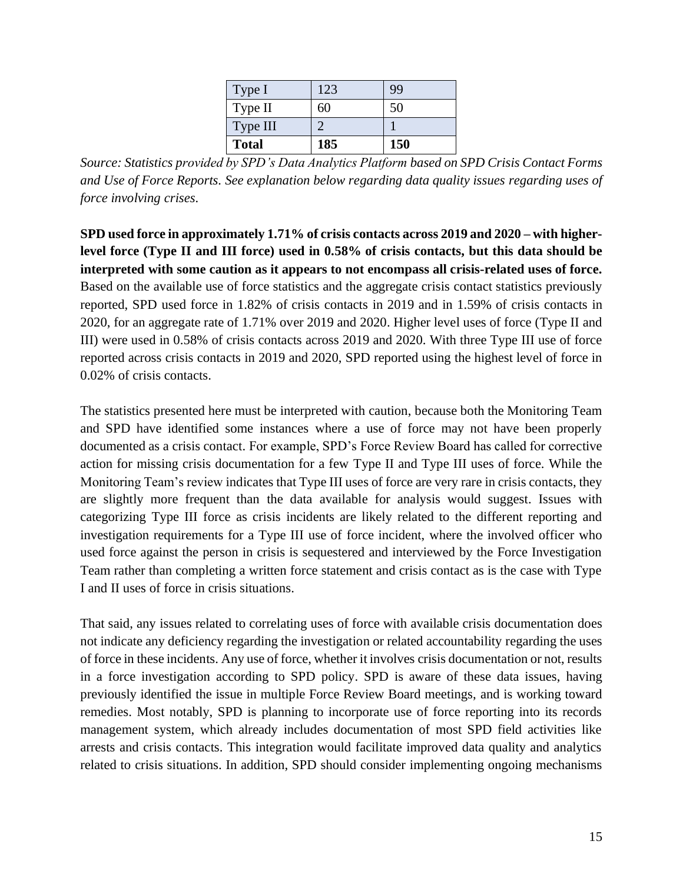| Type I       | 123 | 99  |
|--------------|-----|-----|
| Type II      | 60  | 50  |
| Type III     |     |     |
| <b>Total</b> | 185 | 150 |

*Source: Statistics provided by SPD's Data Analytics Platform based on SPD Crisis Contact Forms and Use of Force Reports. See explanation below regarding data quality issues regarding uses of force involving crises.*

**SPD used force in approximately 1.71% of crisis contacts across 2019 and 2020 – with higherlevel force (Type II and III force) used in 0.58% of crisis contacts, but this data should be interpreted with some caution as it appears to not encompass all crisis-related uses of force.**  Based on the available use of force statistics and the aggregate crisis contact statistics previously reported, SPD used force in 1.82% of crisis contacts in 2019 and in 1.59% of crisis contacts in 2020, for an aggregate rate of 1.71% over 2019 and 2020. Higher level uses of force (Type II and III) were used in 0.58% of crisis contacts across 2019 and 2020. With three Type III use of force reported across crisis contacts in 2019 and 2020, SPD reported using the highest level of force in 0.02% of crisis contacts.

The statistics presented here must be interpreted with caution, because both the Monitoring Team and SPD have identified some instances where a use of force may not have been properly documented as a crisis contact. For example, SPD's Force Review Board has called for corrective action for missing crisis documentation for a few Type II and Type III uses of force. While the Monitoring Team's review indicates that Type III uses of force are very rare in crisis contacts, they are slightly more frequent than the data available for analysis would suggest. Issues with categorizing Type III force as crisis incidents are likely related to the different reporting and investigation requirements for a Type III use of force incident, where the involved officer who used force against the person in crisis is sequestered and interviewed by the Force Investigation Team rather than completing a written force statement and crisis contact as is the case with Type I and II uses of force in crisis situations.

That said, any issues related to correlating uses of force with available crisis documentation does not indicate any deficiency regarding the investigation or related accountability regarding the uses of force in these incidents. Any use of force, whether it involves crisis documentation or not, results in a force investigation according to SPD policy. SPD is aware of these data issues, having previously identified the issue in multiple Force Review Board meetings, and is working toward remedies. Most notably, SPD is planning to incorporate use of force reporting into its records management system, which already includes documentation of most SPD field activities like arrests and crisis contacts. This integration would facilitate improved data quality and analytics related to crisis situations. In addition, SPD should consider implementing ongoing mechanisms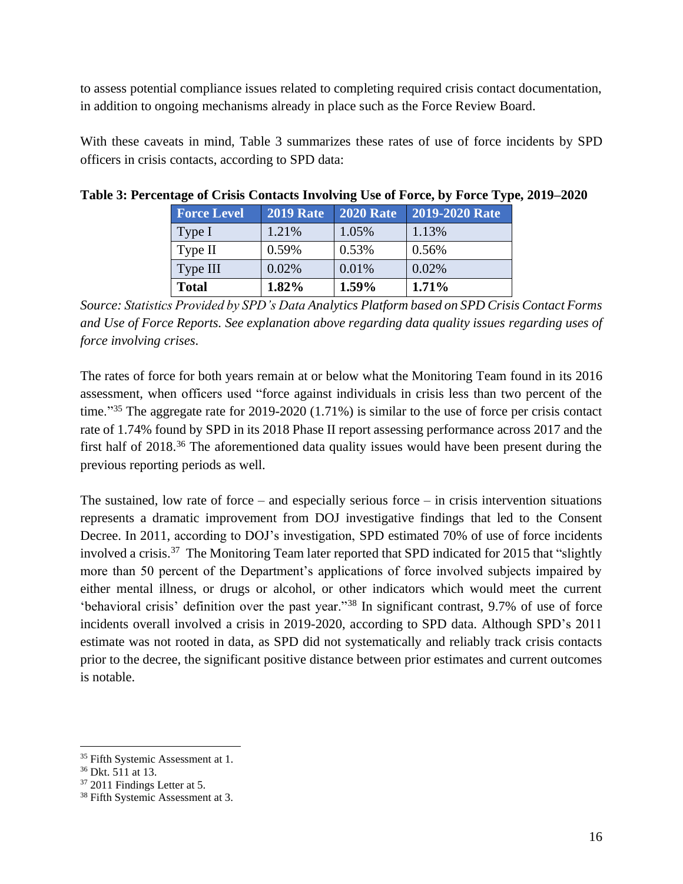to assess potential compliance issues related to completing required crisis contact documentation, in addition to ongoing mechanisms already in place such as the Force Review Board.

With these caveats in mind, Table 3 summarizes these rates of use of force incidents by SPD officers in crisis contacts, according to SPD data:

| <b>Force Level</b> | <b>2019 Rate</b> | <b>2020 Rate</b> | 2019-2020 Rate |
|--------------------|------------------|------------------|----------------|
| Type I             | 1.21%            | 1.05%            | 1.13%          |
| Type II            | 0.59%            | 0.53%            | 0.56%          |
| Type III           | 0.02%            | 0.01%            | 0.02%          |
| <b>Total</b>       | 1.82%            | 1.59%            | 1.71%          |

**Table 3: Percentage of Crisis Contacts Involving Use of Force, by Force Type, 2019–2020**

*Source: Statistics Provided by SPD's Data Analytics Platform based on SPD Crisis Contact Forms and Use of Force Reports. See explanation above regarding data quality issues regarding uses of force involving crises.*

The rates of force for both years remain at or below what the Monitoring Team found in its 2016 assessment, when officers used "force against individuals in crisis less than two percent of the time."<sup>35</sup> The aggregate rate for 2019-2020 (1.71%) is similar to the use of force per crisis contact rate of 1.74% found by SPD in its 2018 Phase II report assessing performance across 2017 and the first half of 2018.<sup>36</sup> The aforementioned data quality issues would have been present during the previous reporting periods as well.

The sustained, low rate of force – and especially serious force – in crisis intervention situations represents a dramatic improvement from DOJ investigative findings that led to the Consent Decree. In 2011, according to DOJ's investigation, SPD estimated 70% of use of force incidents involved a crisis.<sup>37</sup> The Monitoring Team later reported that SPD indicated for 2015 that "slightly more than 50 percent of the Department's applications of force involved subjects impaired by either mental illness, or drugs or alcohol, or other indicators which would meet the current 'behavioral crisis' definition over the past year."<sup>38</sup> In significant contrast, 9.7% of use of force incidents overall involved a crisis in 2019-2020, according to SPD data. Although SPD's 2011 estimate was not rooted in data, as SPD did not systematically and reliably track crisis contacts prior to the decree, the significant positive distance between prior estimates and current outcomes is notable.

<sup>&</sup>lt;sup>35</sup> Fifth Systemic Assessment at 1.

<sup>36</sup> Dkt. 511 at 13.

<sup>37</sup> 2011 Findings Letter at 5.

<sup>&</sup>lt;sup>38</sup> Fifth Systemic Assessment at 3.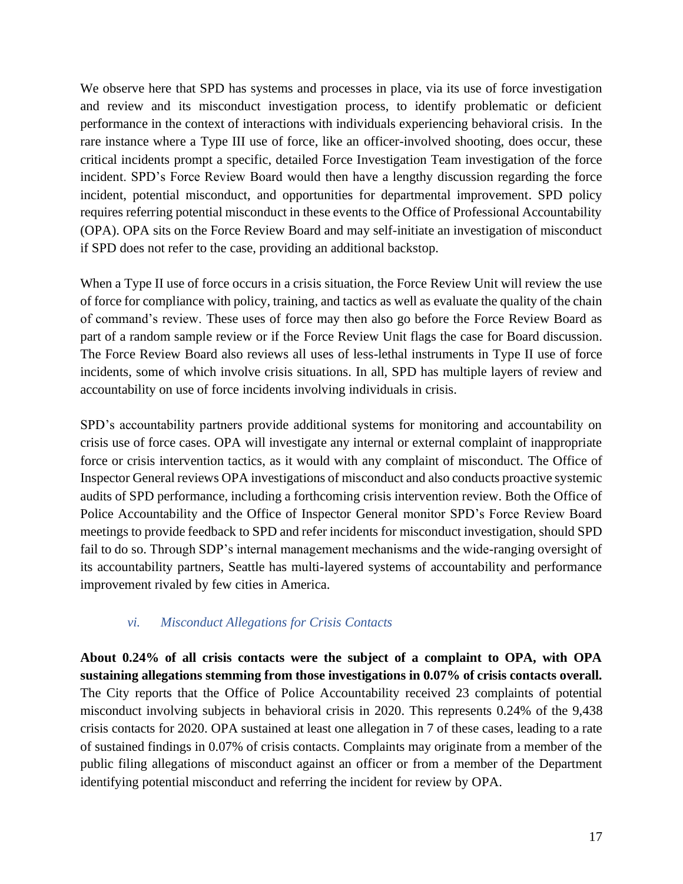We observe here that SPD has systems and processes in place, via its use of force investigation and review and its misconduct investigation process, to identify problematic or deficient performance in the context of interactions with individuals experiencing behavioral crisis. In the rare instance where a Type III use of force, like an officer-involved shooting, does occur, these critical incidents prompt a specific, detailed Force Investigation Team investigation of the force incident. SPD's Force Review Board would then have a lengthy discussion regarding the force incident, potential misconduct, and opportunities for departmental improvement. SPD policy requires referring potential misconduct in these events to the Office of Professional Accountability (OPA). OPA sits on the Force Review Board and may self-initiate an investigation of misconduct if SPD does not refer to the case, providing an additional backstop.

When a Type II use of force occurs in a crisis situation, the Force Review Unit will review the use of force for compliance with policy, training, and tactics as well as evaluate the quality of the chain of command's review. These uses of force may then also go before the Force Review Board as part of a random sample review or if the Force Review Unit flags the case for Board discussion. The Force Review Board also reviews all uses of less-lethal instruments in Type II use of force incidents, some of which involve crisis situations. In all, SPD has multiple layers of review and accountability on use of force incidents involving individuals in crisis.

SPD's accountability partners provide additional systems for monitoring and accountability on crisis use of force cases. OPA will investigate any internal or external complaint of inappropriate force or crisis intervention tactics, as it would with any complaint of misconduct. The Office of Inspector General reviews OPA investigations of misconduct and also conducts proactive systemic audits of SPD performance, including a forthcoming crisis intervention review. Both the Office of Police Accountability and the Office of Inspector General monitor SPD's Force Review Board meetings to provide feedback to SPD and refer incidents for misconduct investigation, should SPD fail to do so. Through SDP's internal management mechanisms and the wide-ranging oversight of its accountability partners, Seattle has multi-layered systems of accountability and performance improvement rivaled by few cities in America.

## *vi. Misconduct Allegations for Crisis Contacts*

**About 0.24% of all crisis contacts were the subject of a complaint to OPA, with OPA sustaining allegations stemming from those investigations in 0.07% of crisis contacts overall.**  The City reports that the Office of Police Accountability received 23 complaints of potential misconduct involving subjects in behavioral crisis in 2020. This represents 0.24% of the 9,438 crisis contacts for 2020. OPA sustained at least one allegation in 7 of these cases, leading to a rate of sustained findings in 0.07% of crisis contacts. Complaints may originate from a member of the public filing allegations of misconduct against an officer or from a member of the Department identifying potential misconduct and referring the incident for review by OPA.